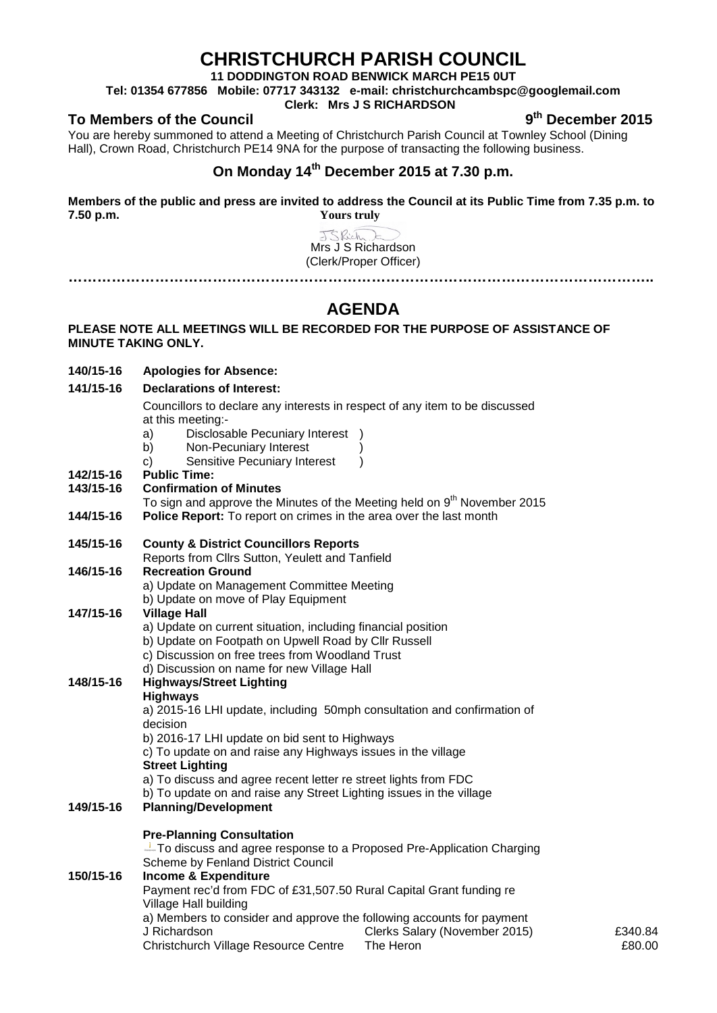# **CHRISTCHURCH PARISH COUNCIL**

**11 DODDINGTON ROAD BENWICK MARCH PE15 0UT**

**Tel: 01354 677856 Mobile: 07717 343132 e-mail: christchurchcambspc@googlemail.com**

## **Clerk: Mrs J S RICHARDSON**

**To Members of the Council 9th December 2015**

You are hereby summoned to attend a Meeting of Christchurch Parish Council at Townley School (Dining Hall), Crown Road, Christchurch PE14 9NA for the purpose of transacting the following business.

# **On Monday 14th December 2015 at 7.30 p.m.**

**Members of the public and press are invited to address the Council at its Public Time from 7.35 p.m. to 7.50 p.m. Yours truly**

> JSRich Mrs J S Richardson (Clerk/Proper Officer) **…………………………………………………………………………………………………………..**

# **AGENDA**

## **PLEASE NOTE ALL MEETINGS WILL BE RECORDED FOR THE PURPOSE OF ASSISTANCE OF MINUTE TAKING ONLY.**

**140/15-16 Apologies for Absence:** 

#### **141/15-16 Declarations of Interest:**

Councillors to declare any interests in respect of any item to be discussed at this meeting:-

- a) Disclosable Pecuniary Interest )
- b) Non-Pecuniary Interest
- c) Sensitive Pecuniary Interest )
- **142/15-16 Public Time:**

#### **143/15-16 Confirmation of Minutes**

- To sign and approve the Minutes of the Meeting held on  $9<sup>th</sup>$  November 2015
- **144/15-16 Police Report:** To report on crimes in the area over the last month

#### **145/15-16 County & District Councillors Reports**

Reports from Cllrs Sutton, Yeulett and Tanfield

#### **146/15-16 Recreation Ground**

a) Update on Management Committee Meeting b) Update on move of Play Equipment

# **147/15-16 Village Hall**

- a) Update on current situation, including financial position
- b) Update on Footpath on Upwell Road by Cllr Russell
- c) Discussion on free trees from Woodland Trust
- d) Discussion on name for new Village Hall

#### **148/15-16 Highways/Street Lighting Highways**

a) 2015-16 LHI update, including 50mph consultation and confirmation of decision

b) 2016-17 LHI update on bid sent to Highways

c) To update on and raise any Highways issues in the village

## **Street Lighting**

- a) To discuss and agree recent letter re street lights from FDC
- b) To update on and raise any Street Lighting issues in the village

### **149/15-16 Planning/Development**

#### **Pre-Planning Consultation**

 $\perp$  To discuss and agree response to a Proposed Pre-Application Charging Scheme by Fenland District Council **150/15-16 Income & Expenditure** Payment rec'd from FDC of £31,507.50 Rural Capital Grant funding re Village Hall building

a) Members to consider and approve the following accounts for payment J Richardson Christchurch Village Resource Centre Clerks Salary (November 2015) The Heron